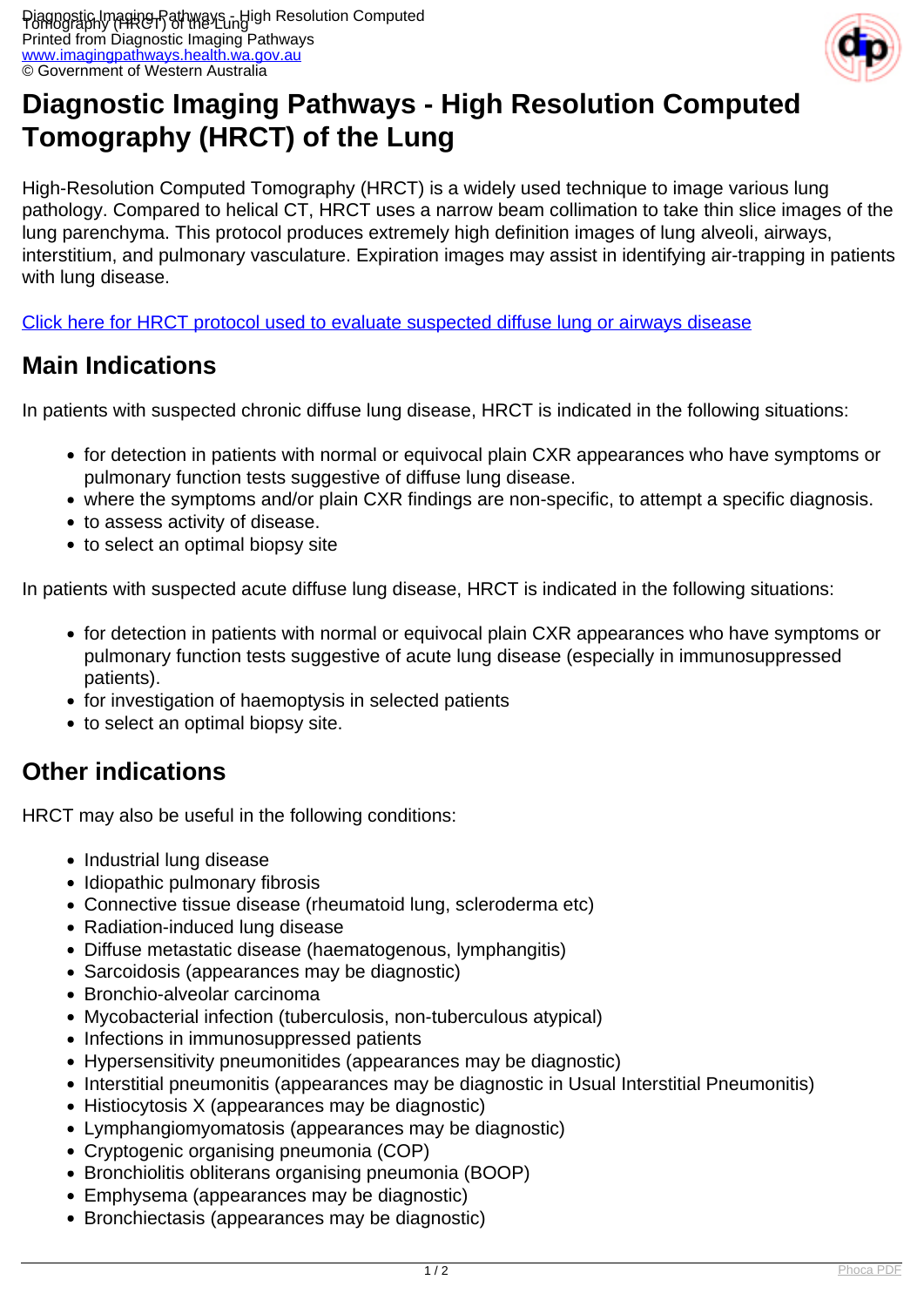

## **Diagnostic Imaging Pathways - High Resolution Computed Tomography (HRCT) of the Lung**

High-Resolution Computed Tomography (HRCT) is a widely used technique to image various lung pathology. Compared to helical CT, HRCT uses a narrow beam collimation to take thin slice images of the lung parenchyma. This protocol produces extremely high definition images of lung alveoli, airways, interstitium, and pulmonary vasculature. Expiration images may assist in identifying air-trapping in patients with lung disease.

[Click here for HRCT protocol used to evaluate suspected diffuse lung or airways disease](index.php?option=com_content&view=article&id=157)

## **Main Indications**

In patients with suspected chronic diffuse lung disease, HRCT is indicated in the following situations:

- for detection in patients with normal or equivocal plain CXR appearances who have symptoms or pulmonary function tests suggestive of diffuse lung disease.
- where the symptoms and/or plain CXR findings are non-specific, to attempt a specific diagnosis.
- to assess activity of disease.
- to select an optimal biopsy site

In patients with suspected acute diffuse lung disease, HRCT is indicated in the following situations:

- for detection in patients with normal or equivocal plain CXR appearances who have symptoms or pulmonary function tests suggestive of acute lung disease (especially in immunosuppressed patients).
- for investigation of haemoptysis in selected patients
- to select an optimal biopsy site.

## **Other indications**

HRCT may also be useful in the following conditions:

- Industrial lung disease
- Idiopathic pulmonary fibrosis
- Connective tissue disease (rheumatoid lung, scleroderma etc)
- Radiation-induced lung disease
- Diffuse metastatic disease (haematogenous, lymphangitis)
- Sarcoidosis (appearances may be diagnostic)
- Bronchio-alveolar carcinoma
- Mycobacterial infection (tuberculosis, non-tuberculous atypical)
- Infections in immunosuppressed patients
- Hypersensitivity pneumonitides (appearances may be diagnostic)
- Interstitial pneumonitis (appearances may be diagnostic in Usual Interstitial Pneumonitis)
- Histiocytosis X (appearances may be diagnostic)
- Lymphangiomyomatosis (appearances may be diagnostic)
- Cryptogenic organising pneumonia (COP)
- Bronchiolitis obliterans organising pneumonia (BOOP)
- Emphysema (appearances may be diagnostic)
- Bronchiectasis (appearances may be diagnostic)